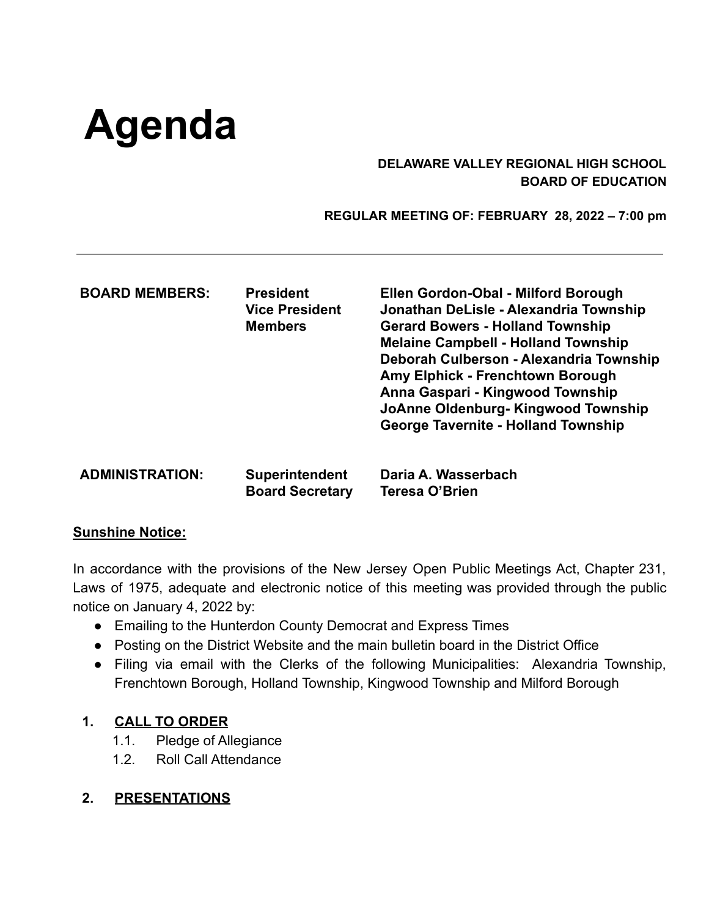# **Agenda**

## **DELAWARE VALLEY REGIONAL HIGH SCHOOL BOARD OF EDUCATION**

 **REGULAR MEETING OF: FEBRUARY 28, 2022 – 7:00 pm**

| <b>BOARD MEMBERS:</b>  | <b>President</b><br><b>Vice President</b><br><b>Members</b> | Ellen Gordon-Obal - Milford Borough<br>Jonathan DeLisle - Alexandria Township<br><b>Gerard Bowers - Holland Township</b><br><b>Melaine Campbell - Holland Township</b><br>Deborah Culberson - Alexandria Township<br>Amy Elphick - Frenchtown Borough<br>Anna Gaspari - Kingwood Township<br>JoAnne Oldenburg- Kingwood Township<br><b>George Tavernite - Holland Township</b> |
|------------------------|-------------------------------------------------------------|--------------------------------------------------------------------------------------------------------------------------------------------------------------------------------------------------------------------------------------------------------------------------------------------------------------------------------------------------------------------------------|
| <b>ADMINISTRATION:</b> | <b>Superintendent</b><br><b>Board Secretary</b>             | Daria A. Wasserbach<br>Teresa O'Brien                                                                                                                                                                                                                                                                                                                                          |

#### **Sunshine Notice:**

In accordance with the provisions of the New Jersey Open Public Meetings Act, Chapter 231, Laws of 1975, adequate and electronic notice of this meeting was provided through the public notice on January 4, 2022 by:

- Emailing to the Hunterdon County Democrat and Express Times
- Posting on the District Website and the main bulletin board in the District Office
- Filing via email with the Clerks of the following Municipalities: Alexandria Township, Frenchtown Borough, Holland Township, Kingwood Township and Milford Borough

# **1. CALL TO ORDER**

- 1.1. Pledge of Allegiance
- 1.2. Roll Call Attendance
- **2. PRESENTATIONS**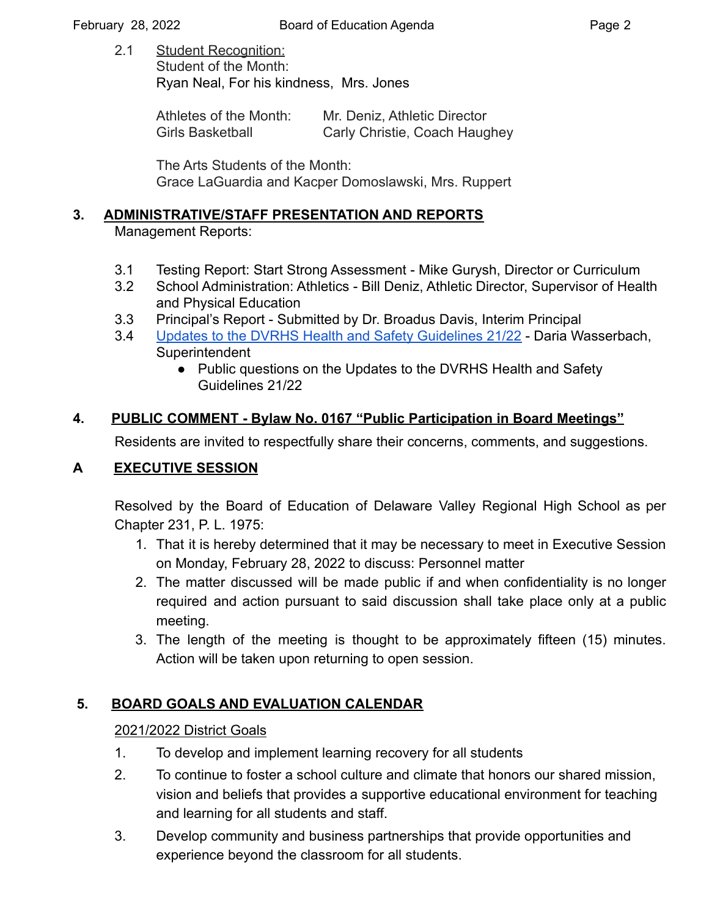2.1 Student Recognition: Student of the Month: Ryan Neal, For his kindness, Mrs. Jones

| Athletes of the Month: | Mr. Deniz, Athletic Director  |
|------------------------|-------------------------------|
| Girls Basketball       | Carly Christie, Coach Haughey |

The Arts Students of the Month: Grace LaGuardia and Kacper Domoslawski, Mrs. Ruppert

## **3. ADMINISTRATIVE/STAFF PRESENTATION AND REPORTS**

Management Reports:

- 3.1 Testing Report: Start Strong Assessment Mike Gurysh, Director or Curriculum
- 3.2 School Administration: Athletics Bill Deniz, Athletic Director, Supervisor of Health and Physical Education
- 3.3 Principal's Report Submitted by Dr. Broadus Davis, Interim Principal
- 3.4 [Updates to the DVRHS Health and Safety Guidelines](https://drive.google.com/file/d/1j2vQ54W57e2jLzI4SNG8jd_orSJIcVyV/view?usp=sharing) 21/22 Daria Wasserbach, **Superintendent** 
	- Public questions on the Updates to the DVRHS Health and Safety Guidelines 21/22

# **4. PUBLIC COMMENT - Bylaw No. 0167 "Public Participation in Board Meetings"**

Residents are invited to respectfully share their concerns, comments, and suggestions.

# **A EXECUTIVE SESSION**

Resolved by the Board of Education of Delaware Valley Regional High School as per Chapter 231, P. L. 1975:

- 1. That it is hereby determined that it may be necessary to meet in Executive Session on Monday, February 28, 2022 to discuss: Personnel matter
- 2. The matter discussed will be made public if and when confidentiality is no longer required and action pursuant to said discussion shall take place only at a public meeting.
- 3. The length of the meeting is thought to be approximately fifteen (15) minutes. Action will be taken upon returning to open session.

# **5. BOARD GOALS AND EVALUATION CALENDAR**

# 2021/2022 District Goals

- 1. To develop and implement learning recovery for all students
- 2. To continue to foster a school culture and climate that honors our shared mission, vision and beliefs that provides a supportive educational environment for teaching and learning for all students and staff.
- 3. Develop community and business partnerships that provide opportunities and experience beyond the classroom for all students.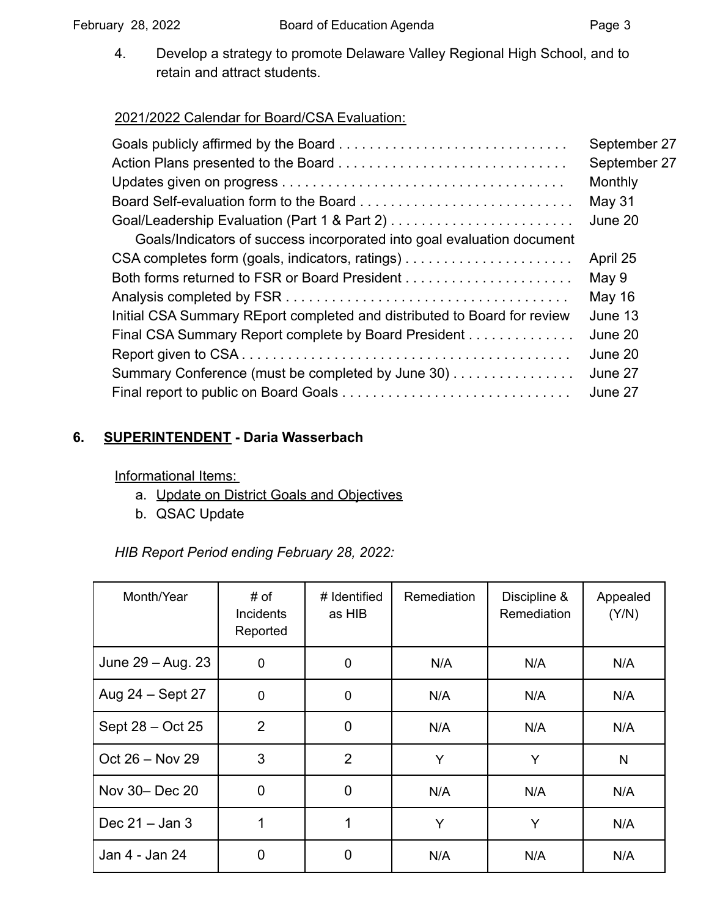4. Develop a strategy to promote Delaware Valley Regional High School, and to retain and attract students.

# 2021/2022 Calendar for Board/CSA Evaluation:

|                                                                          | September 27 |
|--------------------------------------------------------------------------|--------------|
|                                                                          | September 27 |
|                                                                          | Monthly      |
|                                                                          | May 31       |
|                                                                          | June 20      |
| Goals/Indicators of success incorporated into goal evaluation document   |              |
|                                                                          | April 25     |
|                                                                          | May 9        |
|                                                                          | May 16       |
| Initial CSA Summary REport completed and distributed to Board for review | June 13      |
| Final CSA Summary Report complete by Board President                     | June 20      |
|                                                                          | June 20      |
| Summary Conference (must be completed by June 30)                        | June 27      |
|                                                                          | June 27      |

# **6. SUPERINTENDENT - Daria Wasserbach**

Informational Items:

- a. Update on District Goals and Objectives
- b. QSAC Update

*HIB Report Period ending February 28, 2022:*

| Month/Year        | # of<br>Incidents<br>Reported | # Identified<br>as HIB | Remediation | Discipline &<br>Remediation | Appealed<br>(Y/N) |
|-------------------|-------------------------------|------------------------|-------------|-----------------------------|-------------------|
| June 29 - Aug. 23 | $\mathbf 0$                   | 0                      | N/A         | N/A                         | N/A               |
| Aug 24 - Sept 27  | $\mathbf 0$                   | 0                      | N/A         | N/A                         | N/A               |
| Sept 28 – Oct 25  | $\overline{2}$                | 0                      | N/A         | N/A                         | N/A               |
| Oct 26 - Nov 29   | 3                             | $\overline{2}$         | Y           | Y                           | N                 |
| Nov 30- Dec 20    | $\overline{0}$                | 0                      | N/A         | N/A                         | N/A               |
| Dec $21 -$ Jan 3  | 1                             |                        | Y           | Y                           | N/A               |
| Jan 4 - Jan 24    | 0                             | 0                      | N/A         | N/A                         | N/A               |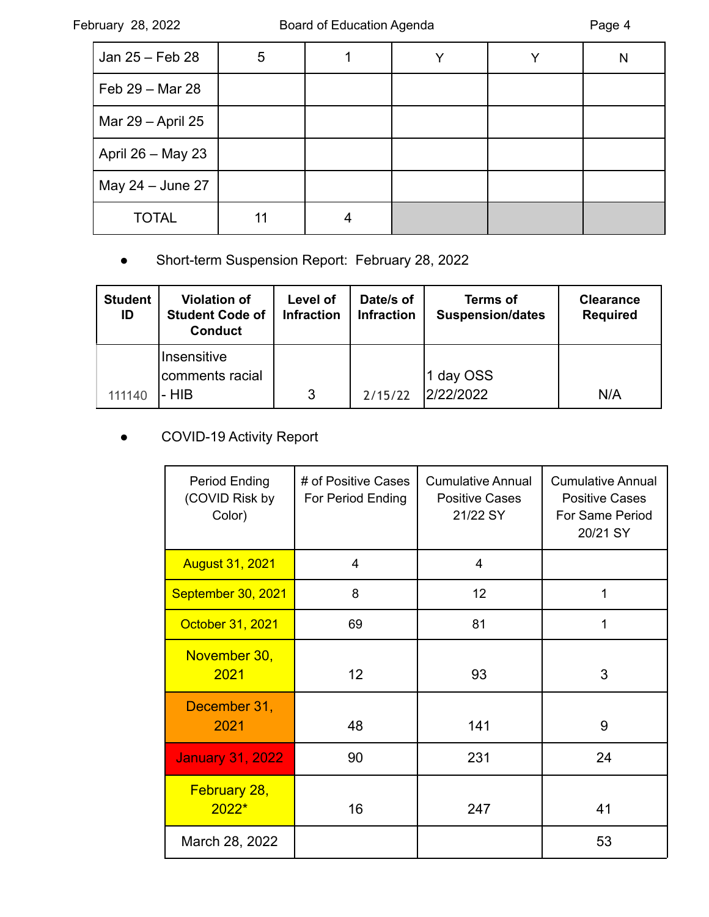| Jan 25 - Feb 28   | 5 |  | N |
|-------------------|---|--|---|
| Feb 29 - Mar 28   |   |  |   |
| Mar 29 - April 25 |   |  |   |
| April 26 - May 23 |   |  |   |
| May 24 - June 27  |   |  |   |
| <b>TOTAL</b>      |   |  |   |

# ● Short-term Suspension Report: February 28, 2022

| <b>Student</b><br>ID | <b>Violation of</b><br><b>Student Code of</b><br><b>Conduct</b> | Level of<br><b>Infraction</b> | Date/s of<br><b>Infraction</b> | <b>Terms of</b><br><b>Suspension/dates</b> | <b>Clearance</b><br><b>Required</b> |
|----------------------|-----------------------------------------------------------------|-------------------------------|--------------------------------|--------------------------------------------|-------------------------------------|
| 111140               | Insensitive<br>comments racial<br>$-HIB$                        | 3                             | 2/15/22                        | 1 day OSS<br>2/22/2022                     | N/A                                 |

# ● COVID-19 Activity Report

| Period Ending<br>(COVID Risk by<br>Color) | # of Positive Cases<br>For Period Ending | <b>Cumulative Annual</b><br><b>Positive Cases</b><br>21/22 SY | <b>Cumulative Annual</b><br><b>Positive Cases</b><br>For Same Period<br>20/21 SY |
|-------------------------------------------|------------------------------------------|---------------------------------------------------------------|----------------------------------------------------------------------------------|
| <b>August 31, 2021</b>                    | 4                                        | 4                                                             |                                                                                  |
| September 30, 2021                        | 8                                        | 12                                                            | 1                                                                                |
| October 31, 2021                          | 69                                       | 81                                                            | 1                                                                                |
| November 30,<br>2021                      | 12 <sup>2</sup>                          | 93                                                            | 3                                                                                |
| December 31,<br>2021                      | 48                                       | 141                                                           | 9                                                                                |
| <b>January 31, 2022</b>                   | 90                                       | 231                                                           | 24                                                                               |
| February 28,<br>$2022*$                   | 16                                       | 247                                                           | 41                                                                               |
| March 28, 2022                            |                                          |                                                               | 53                                                                               |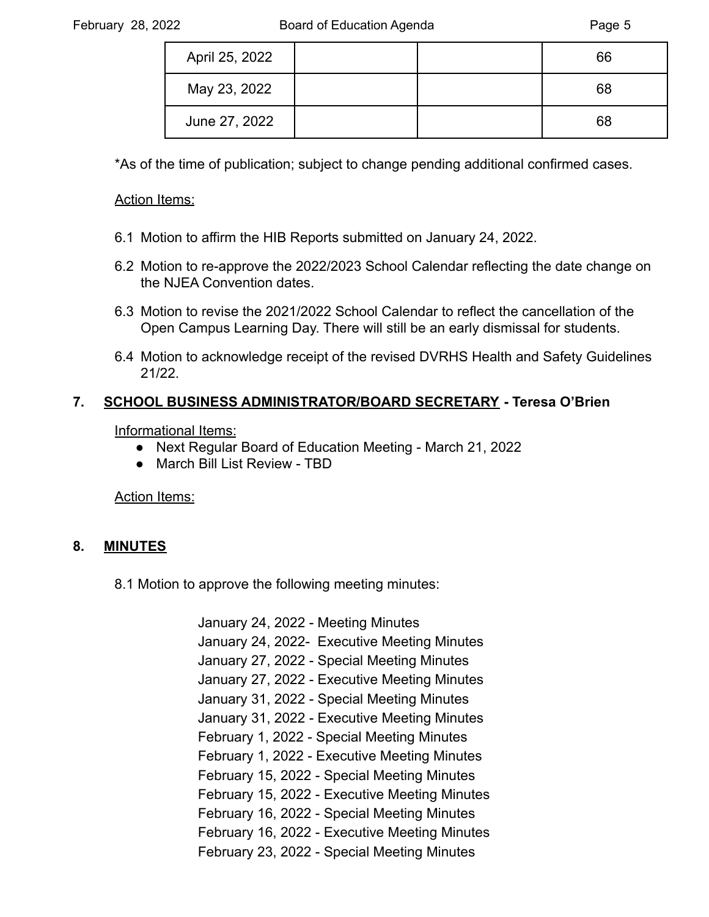| April 25, 2022 |  | 66 |
|----------------|--|----|
| May 23, 2022   |  | 68 |
| June 27, 2022  |  | 68 |

\*As of the time of publication; subject to change pending additional confirmed cases.

#### Action Items:

- 6.1 Motion to affirm the HIB Reports submitted on January 24, 2022.
- 6.2 Motion to re-approve the 2022/2023 School Calendar reflecting the date change on the NJEA Convention dates.
- 6.3 Motion to revise the 2021/2022 School Calendar to reflect the cancellation of the Open Campus Learning Day. There will still be an early dismissal for students.
- 6.4 Motion to acknowledge receipt of the revised DVRHS Health and Safety Guidelines 21/22.

#### **7. SCHOOL BUSINESS ADMINISTRATOR/BOARD SECRETARY - Teresa O'Brien**

Informational Items:

- Next Regular Board of Education Meeting March 21, 2022
- March Bill List Review TBD

Action Items:

#### **8. MINUTES**

8.1 Motion to approve the following meeting minutes:

January 24, 2022 - Meeting Minutes January 24, 2022- Executive Meeting Minutes January 27, 2022 - Special Meeting Minutes January 27, 2022 - Executive Meeting Minutes January 31, 2022 - Special Meeting Minutes January 31, 2022 - Executive Meeting Minutes February 1, 2022 - Special Meeting Minutes February 1, 2022 - Executive Meeting Minutes February 15, 2022 - Special Meeting Minutes February 15, 2022 - Executive Meeting Minutes February 16, 2022 - Special Meeting Minutes February 16, 2022 - Executive Meeting Minutes February 23, 2022 - Special Meeting Minutes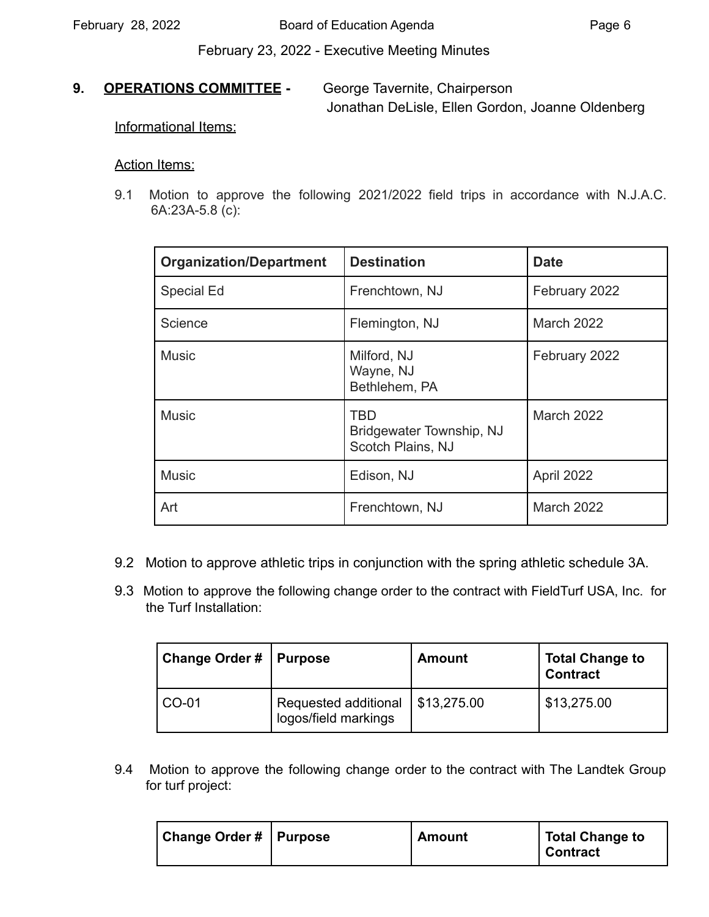February 23, 2022 - Executive Meeting Minutes

#### **9. OPERATIONS COMMITTEE -** George Tavernite, Chairperson

Jonathan DeLisle, Ellen Gordon, Joanne Oldenberg

Informational Items:

#### Action Items:

9.1 Motion to approve the following 2021/2022 field trips in accordance with N.J.A.C. 6A:23A-5.8 (c):

| <b>Organization/Department</b> | <b>Destination</b>                                   | <b>Date</b>       |
|--------------------------------|------------------------------------------------------|-------------------|
| Special Ed                     | Frenchtown, NJ                                       | February 2022     |
| Science                        | Flemington, NJ                                       | March 2022        |
| <b>Music</b>                   | Milford, NJ<br>Wayne, NJ<br>Bethlehem, PA            | February 2022     |
| <b>Music</b>                   | TBD<br>Bridgewater Township, NJ<br>Scotch Plains, NJ | March 2022        |
| <b>Music</b>                   | Edison, NJ                                           | April 2022        |
| Art                            | Frenchtown, NJ                                       | <b>March 2022</b> |

- 9.2 Motion to approve athletic trips in conjunction with the spring athletic schedule 3A.
- the Turf Installation: 9.3 Motion to approve the following change order to the contract with FieldTurf USA, Inc. for

| <b>Change Order #</b> | <b>Purpose</b>                               | Amount      | <b>Total Change to</b><br><b>Contract</b> |
|-----------------------|----------------------------------------------|-------------|-------------------------------------------|
| <sup>1</sup> CO-01    | Requested additional<br>logos/field markings | \$13,275.00 | \$13,275.00                               |

 for turf project: 9.4 Motion to approve the following change order to the contract with The Landtek Group

| Change Order #   Purpose | <b>Amount</b> | <b>Total Change to</b><br><b>Contract</b> |
|--------------------------|---------------|-------------------------------------------|
|--------------------------|---------------|-------------------------------------------|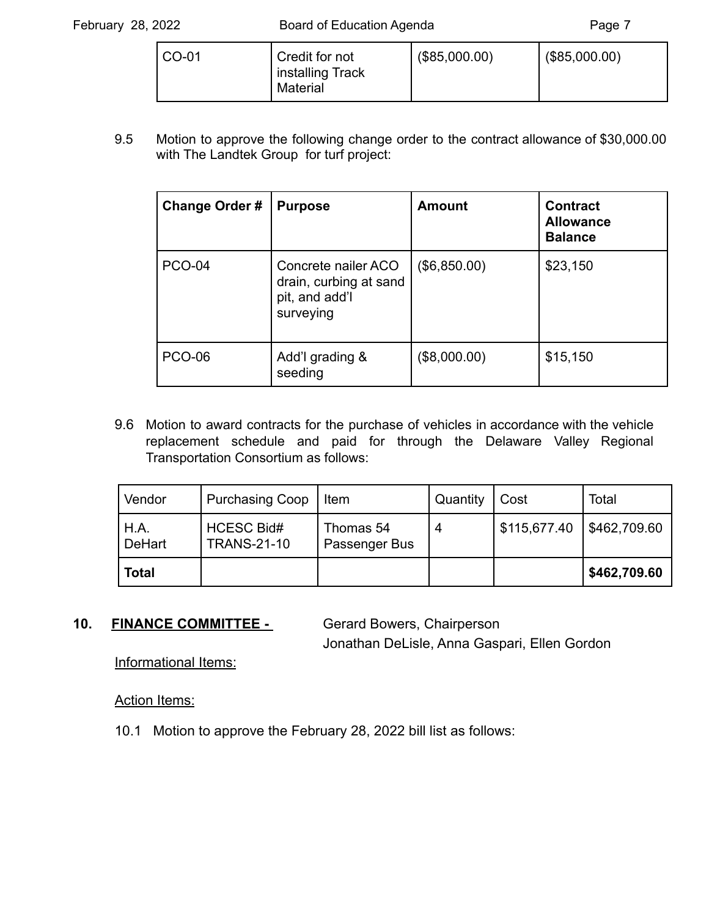| CO-01<br>Credit for not<br>installing Track<br>Material | (\$85,000.00) | (\$85,000.00) |
|---------------------------------------------------------|---------------|---------------|
|---------------------------------------------------------|---------------|---------------|

 with The Landtek Group for turf project: 9.5 Motion to approve the following change order to the contract allowance of [\\$30,000.00](https://30,000.00)

| <b>Change Order #</b> | <b>Purpose</b>                                                               | <b>Amount</b> | <b>Contract</b><br><b>Allowance</b><br><b>Balance</b> |
|-----------------------|------------------------------------------------------------------------------|---------------|-------------------------------------------------------|
| <b>PCO-04</b>         | Concrete nailer ACO<br>drain, curbing at sand<br>pit, and add'l<br>surveying | (\$6,850.00)  | \$23,150                                              |
| <b>PCO-06</b>         | Add'l grading &<br>seeding                                                   | (\$8,000.00)  | \$15,150                                              |

 Transportation Consortium as follows: 9.6 Motion to award contracts for the purchase of vehicles in accordance with the vehicle replacement schedule and paid for through the Delaware Valley Regional

| Vendor         | <b>Purchasing Coop</b>                  | Item                       | Quantity | Cost         | Total        |
|----------------|-----------------------------------------|----------------------------|----------|--------------|--------------|
| H.A.<br>DeHart | <b>HCESC Bid#</b><br><b>TRANS-21-10</b> | Thomas 54<br>Passenger Bus |          | \$115,677.40 | \$462,709.60 |
| <b>Total</b>   |                                         |                            |          |              | \$462,709.60 |

#### 10. **FINANCE COMMITTEE -** Gerard Bowers, Chairperson

Jonathan DeLisle, Anna Gaspari, Ellen Gordon

Informational Items:

Action Items:

10.1 Motion to approve the February 28, 2022 bill list as follows: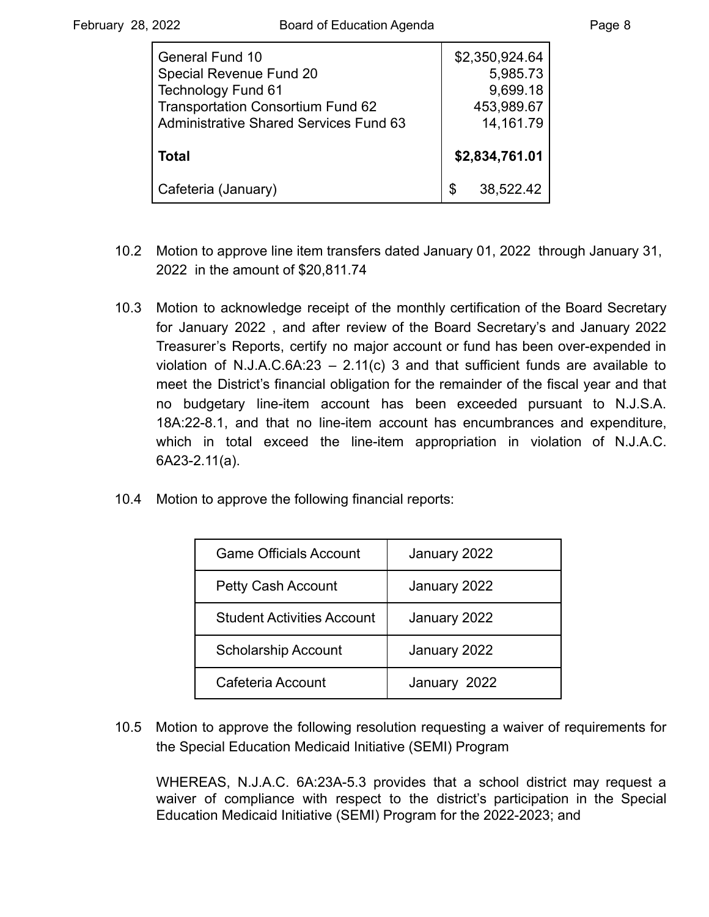| <b>General Fund 10</b><br>Special Revenue Fund 20<br><b>Technology Fund 61</b>            | \$2,350,924.64<br>5,985.73<br>9,699.18 |
|-------------------------------------------------------------------------------------------|----------------------------------------|
| <b>Transportation Consortium Fund 62</b><br><b>Administrative Shared Services Fund 63</b> | 453,989.67<br>14, 161. 79              |
| Total                                                                                     | \$2,834,761.01                         |
| Cafeteria (January)                                                                       | 38,522.42                              |

- 10.2 Motion to approve line item transfers dated January 01, 2022 through January 31, 2022 in the amount of [\\$20,811.74](https://20,811.74)
- 10.3 Motion to acknowledge receipt of the monthly certification of the Board Secretary for January 2022 , and after review of the Board Secretary's and January 2022 Treasurer's Reports, certify no major account or fund has been over-expended in violation of N.J.A.C.6A:23 – 2.11(c) 3 and that sufficient funds are available to meet the District's financial obligation for the remainder of the fiscal year and that no budgetary line-item account has been exceeded pursuant to N.J.S.A. 18A:22-8.1, and that no line-item account has encumbrances and expenditure, which in total exceed the line-item appropriation in violation of N.J.A.C. 6A23-2.11(a).
- 10.4 Motion to approve the following financial reports:

| <b>Game Officials Account</b>     | January 2022 |
|-----------------------------------|--------------|
| <b>Petty Cash Account</b>         | January 2022 |
| <b>Student Activities Account</b> | January 2022 |
| <b>Scholarship Account</b>        | January 2022 |
| Cafeteria Account                 | January 2022 |

10.5 Motion to approve the following resolution requesting a waiver of requirements for the Special Education Medicaid Initiative (SEMI) Program

WHEREAS, N.J.A.C. 6A:23A-5.3 provides that a school district may request a waiver of compliance with respect to the district's participation in the Special Education Medicaid Initiative (SEMI) Program for the 2022-2023; and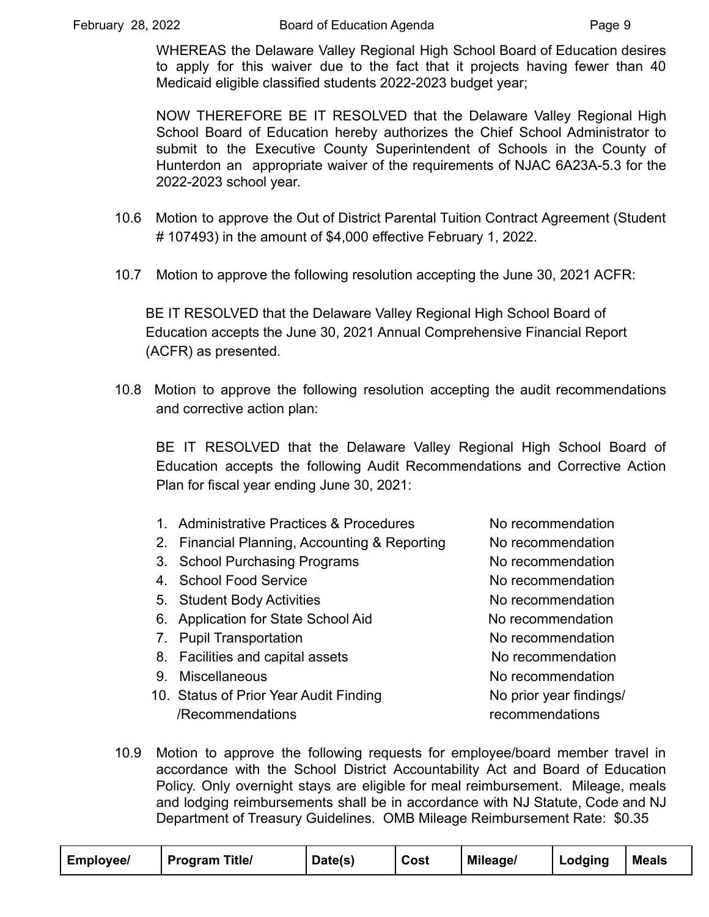WHEREAS the Delaware Valley Regional High School Board of Education desires to apply for this waiver due to the fact that it projects having fewer than 40 Medicaid eligible classified students 2022-2023 budget year;

NOW THEREFORE BE IT RESOLVED that the Delaware Valley Regional High School Board of Education hereby authorizes the Chief School Administrator to submit to the Executive County Superintendent of Schools in the County of Hunterdon an appropriate waiver of the requirements of NJAC 6A23A-5.3 for the 2022-2023 school year.

- 10.6 Motion to approve the Out of District Parental Tuition Contract Agreement (Student # 107493) in the amount of \$4,000 effective February 1, 2022.
- 10.7 Motion to approve the following resolution accepting the June 30, 2021 ACFR:

BE IT RESOLVED that the Delaware Valley Regional High School Board of Education accepts the June 30, 2021 Annual Comprehensive Financial Report (ACFR) as presented.

10.8 Motion to approve the following resolution accepting the audit recommendations and corrective action plan:

BE IT RESOLVED that the Delaware Valley Regional High School Board of Education accepts the following Audit Recommendations and Corrective Action Plan for fiscal year ending June 30, 2021:

- 1. Administrative Practices & Procedures No recommendation
- 2. Financial Planning, Accounting & Reporting No recommendation
- 3. School Purchasing Programs No recommendation
- 4. School Food Service **No recommendation**
- 5. Student Body Activities **No recommendation**
- 6. Application for State School Aid Norecommendation
- 7. Pupil Transportation and the North No recommendation
- 8. Facilities and capital assets No recommendation
- 
- 10. Status of Prior Year Audit Finding Notation No prior year findings/ /Recommendations recommendations

9. Miscellaneous and the state of the North Morecommendation

10.9 Motion to approve the following requests for employee/board member travel in accordance with the School District Accountability Act and Board of Education Policy. Only overnight stays are eligible for meal reimbursement. Mileage, meals and lodging reimbursements shall be in accordance with NJ Statute, Code and NJ Department of Treasury Guidelines. OMB Mileage Reimbursement Rate: \$0.35

| <b>Employee/</b> | <b>Program Title/</b> | Date(s) | Cost | Mileage/ | Lodging | <b>Meals</b> |
|------------------|-----------------------|---------|------|----------|---------|--------------|
|------------------|-----------------------|---------|------|----------|---------|--------------|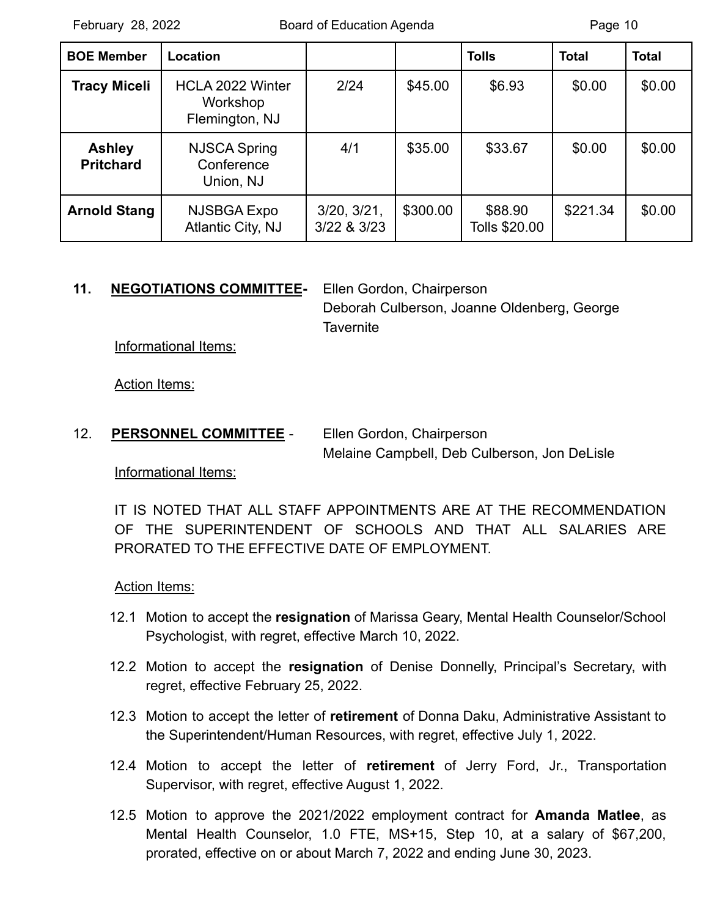| <b>BOE Member</b>                 | Location                                              |                            |          | <b>Tolls</b>             | <b>Total</b> | <b>Total</b> |
|-----------------------------------|-------------------------------------------------------|----------------------------|----------|--------------------------|--------------|--------------|
| <b>Tracy Miceli</b>               | <b>HCLA 2022 Winter</b><br>Workshop<br>Flemington, NJ | 2/24                       | \$45.00  | \$6.93                   | \$0.00       | \$0.00       |
| <b>Ashley</b><br><b>Pritchard</b> | <b>NJSCA Spring</b><br>Conference<br>Union, NJ        | 4/1                        | \$35.00  | \$33.67                  | \$0.00       | \$0.00       |
| <b>Arnold Stang</b>               | NJSBGA Expo<br>Atlantic City, NJ                      | 3/20, 3/21,<br>3/22 & 3/23 | \$300.00 | \$88.90<br>Tolls \$20.00 | \$221.34     | \$0.00       |

#### **11. NEGOTIATIONS COMMITTEE-** Ellen Gordon, Chairperson

Deborah Culberson, Joanne Oldenberg, George **Tavernite** 

Informational Items:

Action Items:

12. **PERSONNEL COMMITTEE** - Ellen Gordon, Chairperson Melaine Campbell, Deb Culberson, Jon DeLisle

Informational Items:

IT IS NOTED THAT ALL STAFF APPOINTMENTS ARE AT THE RECOMMENDATION OF THE SUPERINTENDENT OF SCHOOLS AND THAT ALL SALARIES ARE PRORATED TO THE EFFECTIVE DATE OF EMPLOYMENT.

Action Items:

- 12.1 Motion to accept the **resignation** of Marissa Geary, Mental Health Counselor/School Psychologist, with regret, effective March 10, 2022.
- 12.2 Motion to accept the **resignation** of Denise Donnelly, Principal's Secretary, with regret, effective February 25, 2022.
- 12.3 Motion to accept the letter of **retirement** of Donna Daku, Administrative Assistant to the Superintendent/Human Resources, with regret, effective July 1, 2022.
- 12.4 Motion to accept the letter of **retirement** of Jerry Ford, Jr., Transportation Supervisor, with regret, effective August 1, 2022.
- 12.5 Motion to approve the 2021/2022 employment contract for **Amanda Matlee**, as Mental Health Counselor, 1.0 FTE, MS+15, Step 10, at a salary of \$67,200, prorated, effective on or about March 7, 2022 and ending June 30, 2023.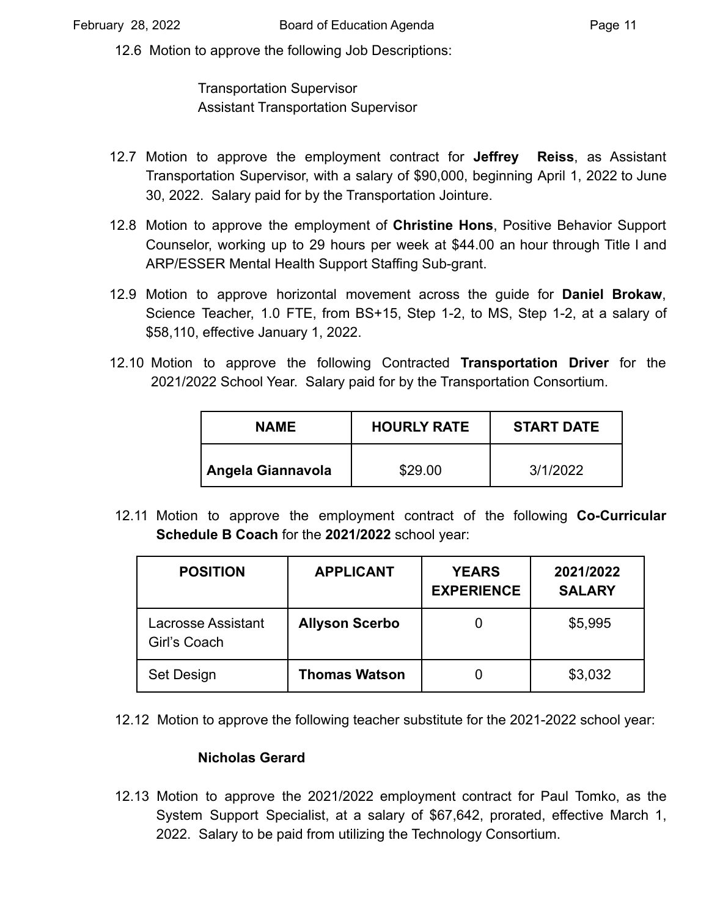12.6 Motion to approve the following Job Descriptions:

Transportation Supervisor Assistant Transportation Supervisor

- 12.7 Motion to approve the employment contract for **Jeffrey Reiss**, as Assistant Transportation Supervisor, with a salary of \$90,000, beginning April 1, 2022 to June 30, 2022. Salary paid for by the Transportation Jointure.
- 12.8 Motion to approve the employment of **Christine Hons**, Positive Behavior Support Counselor, working up to 29 hours per week at \$44.00 an hour through Title I and ARP/ESSER Mental Health Support Staffing Sub-grant.
- 12.9 Motion to approve horizontal movement across the guide for **Daniel Brokaw**, Science Teacher, 1.0 FTE, from BS+15, Step 1-2, to MS, Step 1-2, at a salary of \$58,110, effective January 1, 2022.
- 12.10 Motion to approve the following Contracted **Transportation Driver** for the 2021/2022 School Year. Salary paid for by the Transportation Consortium.

| <b>NAME</b>              | <b>HOURLY RATE</b> | <b>START DATE</b> |  |
|--------------------------|--------------------|-------------------|--|
| <b>Angela Giannavola</b> | \$29.00            | 3/1/2022          |  |

12.11 Motion to approve the employment contract of the following **Co-Curricular Schedule B Coach** for the **2021/2022** school year:

| <b>POSITION</b>                    | <b>APPLICANT</b>      | <b>YEARS</b><br><b>EXPERIENCE</b> | 2021/2022<br><b>SALARY</b> |
|------------------------------------|-----------------------|-----------------------------------|----------------------------|
| Lacrosse Assistant<br>Girl's Coach | <b>Allyson Scerbo</b> |                                   | \$5,995                    |
| Set Design                         | <b>Thomas Watson</b>  |                                   | \$3,032                    |

12.12 Motion to approve the following teacher substitute for the 2021-2022 school year:

#### **Nicholas Gerard**

12.13 Motion to approve the 2021/2022 employment contract for Paul Tomko, as the System Support Specialist, at a salary of \$67,642, prorated, effective March 1, 2022. Salary to be paid from utilizing the Technology Consortium.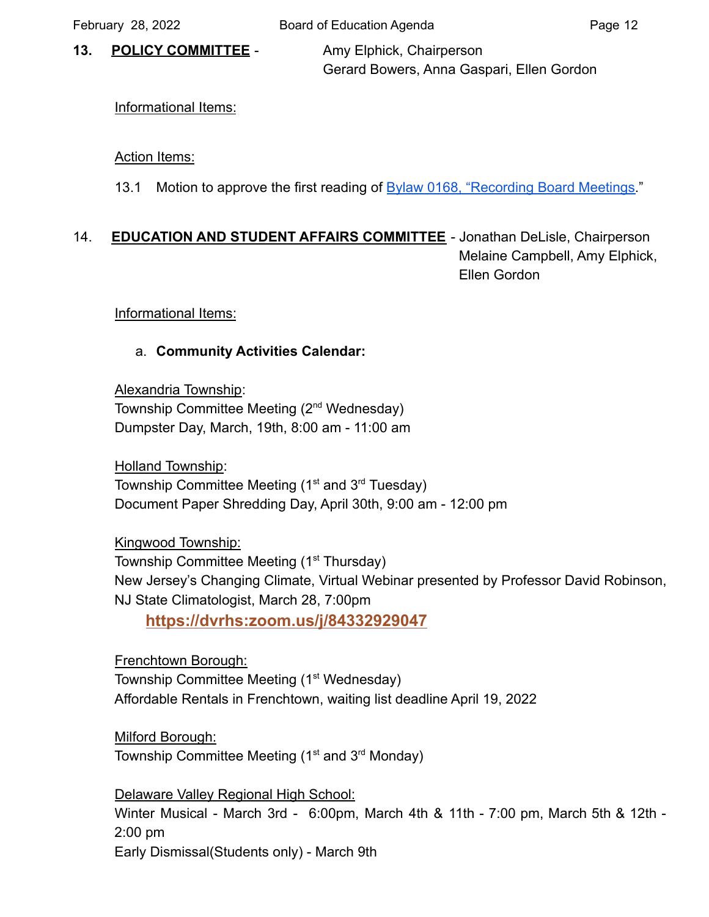**13. POLICY COMMITTEE** - Amy Elphick, Chairperson

Gerard Bowers, Anna Gaspari, Ellen Gordon

# Informational Items:

# Action Items:

13.1 Motion to approve the first reading of Bylaw [0168, "Recording Board Meetings.](https://drive.google.com/file/d/12YRNQOImQNYg9k5NFnnR6mdYXPvswoyv/view?usp=sharing)"

# 14. **EDUCATION AND STUDENT AFFAIRS COMMITTEE** - Jonathan DeLisle, Chairperson Melaine Campbell, Amy Elphick, Ellen Gordon

Informational Items:

# a. **Community Activities Calendar:**

Alexandria Township: Township Committee Meeting (2<sup>nd</sup> Wednesday) Dumpster Day, March, 19th, 8:00 am - 11:00 am

Holland Township: Township Committee Meeting  $(1<sup>st</sup>$  and  $3<sup>rd</sup>$  Tuesday) Document Paper Shredding Day, April 30th, 9:00 am - 12:00 pm

Kingwood Township: Township Committee Meeting (1<sup>st</sup> Thursday) New Jersey's Changing Climate, Virtual Webinar presented by Professor David Robinson, NJ State Climatologist, March 28, 7:00pm

**<https://dvrhs:zoom.us/j/84332929047>**

Frenchtown Borough: Township Committee Meeting (1<sup>st</sup> Wednesday) Affordable Rentals in Frenchtown, waiting list deadline April 19, 2022

Milford Borough: Township Committee Meeting  $(1<sup>st</sup>$  and  $3<sup>rd</sup>$  Monday)

Delaware Valley Regional High School: Winter Musical - March 3rd - 6:00pm, March 4th & 11th - 7:00 pm, March 5th & 12th - 2:00 pm Early Dismissal(Students only) - March 9th